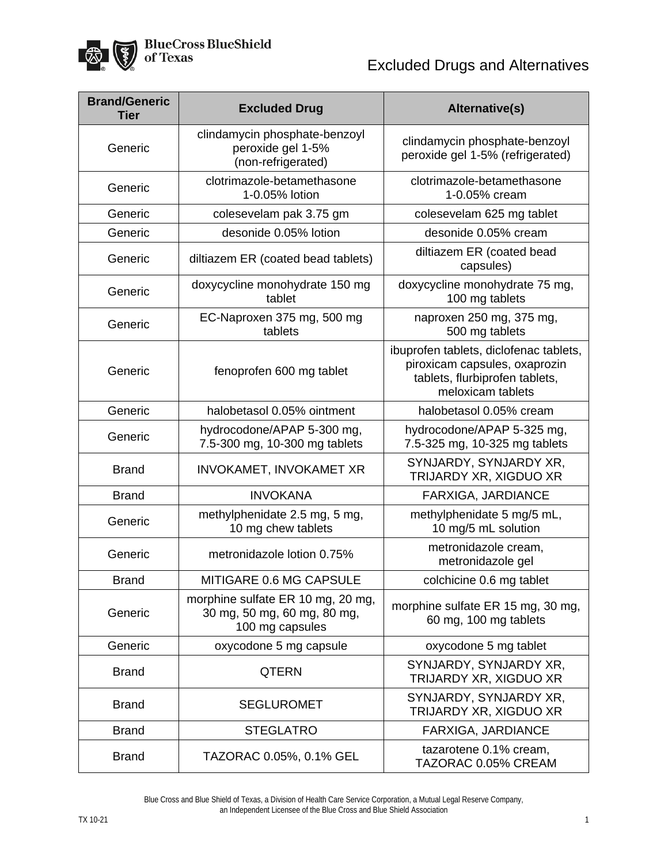

| <b>Brand/Generic</b><br><b>Tier</b> | <b>Excluded Drug</b>                                                                | <b>Alternative(s)</b>                                                                                                          |
|-------------------------------------|-------------------------------------------------------------------------------------|--------------------------------------------------------------------------------------------------------------------------------|
| Generic                             | clindamycin phosphate-benzoyl<br>peroxide gel 1-5%<br>(non-refrigerated)            | clindamycin phosphate-benzoyl<br>peroxide gel 1-5% (refrigerated)                                                              |
| Generic                             | clotrimazole-betamethasone<br>1-0.05% lotion                                        | clotrimazole-betamethasone<br>1-0.05% cream                                                                                    |
| Generic                             | colesevelam pak 3.75 gm                                                             | colesevelam 625 mg tablet                                                                                                      |
| Generic                             | desonide 0.05% lotion                                                               | desonide 0.05% cream                                                                                                           |
| Generic                             | diltiazem ER (coated bead tablets)                                                  | diltiazem ER (coated bead<br>capsules)                                                                                         |
| Generic                             | doxycycline monohydrate 150 mg<br>tablet                                            | doxycycline monohydrate 75 mg,<br>100 mg tablets                                                                               |
| Generic                             | EC-Naproxen 375 mg, 500 mg<br>tablets                                               | naproxen 250 mg, 375 mg,<br>500 mg tablets                                                                                     |
| Generic                             | fenoprofen 600 mg tablet                                                            | ibuprofen tablets, diclofenac tablets,<br>piroxicam capsules, oxaprozin<br>tablets, flurbiprofen tablets,<br>meloxicam tablets |
| Generic                             | halobetasol 0.05% ointment                                                          | halobetasol 0.05% cream                                                                                                        |
| Generic                             | hydrocodone/APAP 5-300 mg,<br>7.5-300 mg, 10-300 mg tablets                         | hydrocodone/APAP 5-325 mg,<br>7.5-325 mg, 10-325 mg tablets                                                                    |
| <b>Brand</b>                        | INVOKAMET, INVOKAMET XR                                                             | SYNJARDY, SYNJARDY XR,<br>TRIJARDY XR, XIGDUO XR                                                                               |
| <b>Brand</b>                        | <b>INVOKANA</b>                                                                     | <b>FARXIGA, JARDIANCE</b>                                                                                                      |
| Generic                             | methylphenidate 2.5 mg, 5 mg,<br>10 mg chew tablets                                 | methylphenidate 5 mg/5 mL,<br>10 mg/5 mL solution                                                                              |
| Generic                             | metronidazole lotion 0.75%                                                          | metronidazole cream,<br>metronidazole gel                                                                                      |
| <b>Brand</b>                        | MITIGARE 0.6 MG CAPSULE                                                             | colchicine 0.6 mg tablet                                                                                                       |
| Generic                             | morphine sulfate ER 10 mg, 20 mg,<br>30 mg, 50 mg, 60 mg, 80 mg,<br>100 mg capsules | morphine sulfate ER 15 mg, 30 mg,<br>60 mg, 100 mg tablets                                                                     |
| Generic                             | oxycodone 5 mg capsule                                                              | oxycodone 5 mg tablet                                                                                                          |
| <b>Brand</b>                        | <b>QTERN</b>                                                                        | SYNJARDY, SYNJARDY XR,<br>TRIJARDY XR, XIGDUO XR                                                                               |
| <b>Brand</b>                        | <b>SEGLUROMET</b>                                                                   | SYNJARDY, SYNJARDY XR,<br>TRIJARDY XR, XIGDUO XR                                                                               |
| <b>Brand</b>                        | <b>STEGLATRO</b>                                                                    | FARXIGA, JARDIANCE                                                                                                             |
| <b>Brand</b>                        | TAZORAC 0.05%, 0.1% GEL                                                             | tazarotene 0.1% cream,<br>TAZORAC 0.05% CREAM                                                                                  |

Blue Cross and Blue Shield of Texas, a Division of Health Care Service Corporation, a Mutual Legal Reserve Company, an Independent Licensee of the Blue Cross and Blue Shield Association